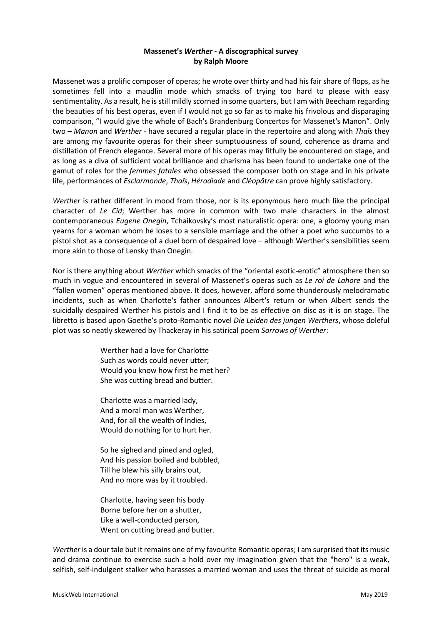## **Massenet's** *Werther -* **A discographical survey by Ralph Moore**

Massenet was a prolific composer of operas; he wrote over thirty and had his fair share of flops, as he sometimes fell into a maudlin mode which smacks of trying too hard to please with easy sentimentality. As a result, he is still mildly scorned in some quarters, but I am with Beecham regarding the beauties of his best operas, even if I would not go so far as to make his frivolous and disparaging comparison, "I would give the whole of Bach's Brandenburg Concertos for Massenet's Manon". Only two – *Manon* and *Werther* - have secured a regular place in the repertoire and along with *Thaïs* they are among my favourite operas for their sheer sumptuousness of sound, coherence as drama and distillation of French elegance. Several more of his operas may fitfully be encountered on stage, and as long as a diva of sufficient vocal brilliance and charisma has been found to undertake one of the gamut of roles for the *femmes fatales* who obsessed the composer both on stage and in his private life, performances of *Esclarmonde*, *Thaïs*, *Hérodiade* and *Cléopâtre* can prove highly satisfactory.

*Werther* is rather different in mood from those, nor is its eponymous hero much like the principal character of *Le Cid*; Werther has more in common with two male characters in the almost contemporaneous *Eugene Onegin*, Tchaikovsky's most naturalistic opera: one, a gloomy young man yearns for a woman whom he loses to a sensible marriage and the other a poet who succumbs to a pistol shot as a consequence of a duel born of despaired love – although Werther's sensibilities seem more akin to those of Lensky than Onegin.

Nor is there anything about *Werther* which smacks of the "oriental exotic-erotic" atmosphere then so much in vogue and encountered in several of Massenet's operas such as *Le roi de Lahore* and the "fallen women" operas mentioned above. It does, however, afford some thunderously melodramatic incidents, such as when Charlotte's father announces Albert's return or when Albert sends the suicidally despaired Werther his pistols and I find it to be as effective on disc as it is on stage. The libretto is based upon Goethe's proto-Romantic novel *Die Leiden des jungen Werthers*, whose doleful plot was so neatly skewered by Thackeray in his satirical poem *Sorrows of Werther*:

> Werther had a love for Charlotte Such as words could never utter; Would you know how first he met her? She was cutting bread and butter.

Charlotte was a married lady, And a moral man was Werther, And, for all the wealth of Indies, Would do nothing for to hurt her.

So he sighed and pined and ogled, And his passion boiled and bubbled, Till he blew his silly brains out, And no more was by it troubled.

Charlotte, having seen his body Borne before her on a shutter, Like a well-conducted person, Went on cutting bread and butter.

*Werther* is a dour tale but it remains one of my favourite Romantic operas; I am surprised that its music and drama continue to exercise such a hold over my imagination given that the "hero" is a weak, selfish, self-indulgent stalker who harasses a married woman and uses the threat of suicide as moral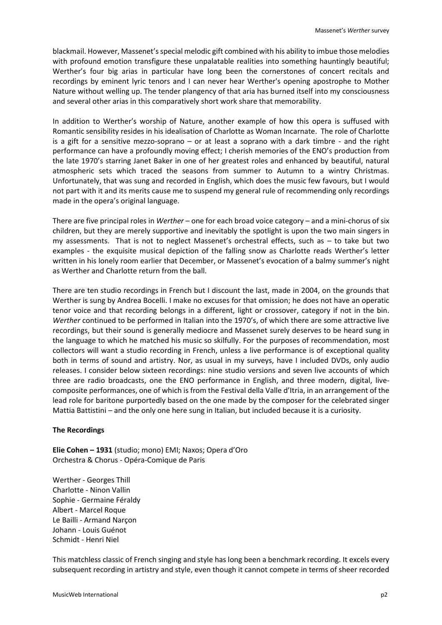blackmail. However, Massenet's special melodic gift combined with his ability to imbue those melodies with profound emotion transfigure these unpalatable realities into something hauntingly beautiful; Werther's four big arias in particular have long been the cornerstones of concert recitals and recordings by eminent lyric tenors and I can never hear Werther's opening apostrophe to Mother Nature without welling up. The tender plangency of that aria has burned itself into my consciousness and several other arias in this comparatively short work share that memorability.

In addition to Werther's worship of Nature, another example of how this opera is suffused with Romantic sensibility resides in his idealisation of Charlotte as Woman Incarnate. The role of Charlotte is a gift for a sensitive mezzo-soprano – or at least a soprano with a dark timbre - and the right performance can have a profoundly moving effect; I cherish memories of the ENO's production from the late 1970's starring Janet Baker in one of her greatest roles and enhanced by beautiful, natural atmospheric sets which traced the seasons from summer to Autumn to a wintry Christmas. Unfortunately, that was sung and recorded in English, which does the music few favours, but I would not part with it and its merits cause me to suspend my general rule of recommending only recordings made in the opera's original language.

There are five principal roles in *Werther* – one for each broad voice category – and a mini-chorus of six children, but they are merely supportive and inevitably the spotlight is upon the two main singers in my assessments. That is not to neglect Massenet's orchestral effects, such as – to take but two examples - the exquisite musical depiction of the falling snow as Charlotte reads Werther's letter written in his lonely room earlier that December, or Massenet's evocation of a balmy summer's night as Werther and Charlotte return from the ball.

There are ten studio recordings in French but I discount the last, made in 2004, on the grounds that Werther is sung by Andrea Bocelli. I make no excuses for that omission; he does not have an operatic tenor voice and that recording belongs in a different, light or crossover, category if not in the bin. *Werther* continued to be performed in Italian into the 1970's, of which there are some attractive live recordings, but their sound is generally mediocre and Massenet surely deserves to be heard sung in the language to which he matched his music so skilfully. For the purposes of recommendation, most collectors will want a studio recording in French, unless a live performance is of exceptional quality both in terms of sound and artistry. Nor, as usual in my surveys, have I included DVDs, only audio releases. I consider below sixteen recordings: nine studio versions and seven live accounts of which three are radio broadcasts, one the ENO performance in English, and three modern, digital, livecomposite performances, one of which is from the Festival della Valle d'Itria, in an arrangement of the lead role for baritone purportedly based on the one made by the composer for the celebrated singer Mattia Battistini – and the only one here sung in Italian, but included because it is a curiosity.

## **The Recordings**

**Elie Cohen – 1931** (studio; mono) EMI; Naxos; Opera d'Oro Orchestra & Chorus - Opéra-Comique de Paris

Werther - Georges Thill Charlotte - Ninon Vallin Sophie - Germaine Féraldy Albert - Marcel Roque Le Bailli - Armand Narçon Johann - Louis Guénot Schmidt - Henri Niel

This matchless classic of French singing and style has long been a benchmark recording. It excels every subsequent recording in artistry and style, even though it cannot compete in terms of sheer recorded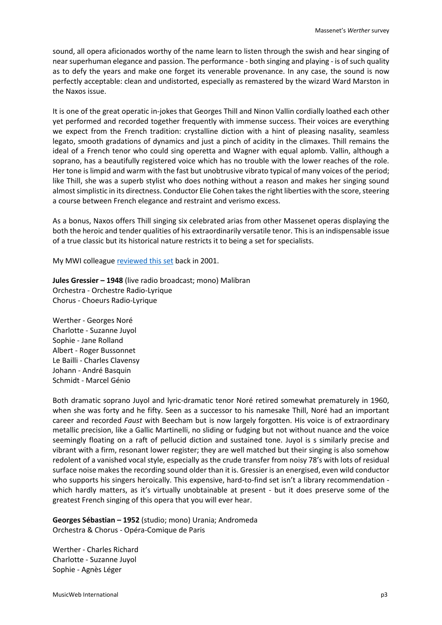sound, all opera aficionados worthy of the name learn to listen through the swish and hear singing of near superhuman elegance and passion. The performance - both singing and playing - is of such quality as to defy the years and make one forget its venerable provenance. In any case, the sound is now perfectly acceptable: clean and undistorted, especially as remastered by the wizard Ward Marston in the Naxos issue.

It is one of the great operatic in-jokes that Georges Thill and Ninon Vallin cordially loathed each other yet performed and recorded together frequently with immense success. Their voices are everything we expect from the French tradition: crystalline diction with a hint of pleasing nasality, seamless legato, smooth gradations of dynamics and just a pinch of acidity in the climaxes. Thill remains the ideal of a French tenor who could sing operetta and Wagner with equal aplomb. Vallin, although a soprano, has a beautifully registered voice which has no trouble with the lower reaches of the role. Her tone is limpid and warm with the fast but unobtrusive vibrato typical of many voices of the period; like Thill, she was a superb stylist who does nothing without a reason and makes her singing sound almost simplistic in its directness. Conductor Elie Cohen takes the right liberties with the score, steering a course between French elegance and restraint and verismo excess.

As a bonus, Naxos offers Thill singing six celebrated arias from other Massenet operas displaying the both the heroic and tender qualities of his extraordinarily versatile tenor. This is an indispensable issue of a true classic but its historical nature restricts it to being a set for specialists.

My MWI colleagu[e reviewed this set](http://www.musicweb-international.com/classrev/2001/Jan01/werther.htm) back in 2001.

**Jules Gressier – 1948** (live radio broadcast; mono) Malibran Orchestra - Orchestre Radio-Lyrique Chorus - Choeurs Radio-Lyrique

Werther - Georges Noré Charlotte - Suzanne Juyol Sophie - Jane Rolland Albert - Roger Bussonnet Le Bailli - Charles Clavensy Johann - André Basquin Schmidt - Marcel Génio

Both dramatic soprano Juyol and lyric-dramatic tenor Noré retired somewhat prematurely in 1960, when she was forty and he fifty. Seen as a successor to his namesake Thill, Noré had an important career and recorded *Faust* with Beecham but is now largely forgotten. His voice is of extraordinary metallic precision, like a Gallic Martinelli, no sliding or fudging but not without nuance and the voice seemingly floating on a raft of pellucid diction and sustained tone. Juyol is s similarly precise and vibrant with a firm, resonant lower register; they are well matched but their singing is also somehow redolent of a vanished vocal style, especially as the crude transfer from noisy 78's with lots of residual surface noise makes the recording sound older than it is. Gressier is an energised, even wild conductor who supports his singers heroically. This expensive, hard-to-find set isn't a library recommendation which hardly matters, as it's virtually unobtainable at present - but it does preserve some of the greatest French singing of this opera that you will ever hear.

**Georges Sébastian – 1952** (studio; mono) Urania; Andromeda Orchestra & Chorus - Opéra-Comique de Paris

Werther - Charles Richard Charlotte - Suzanne Juyol Sophie - Agnès Léger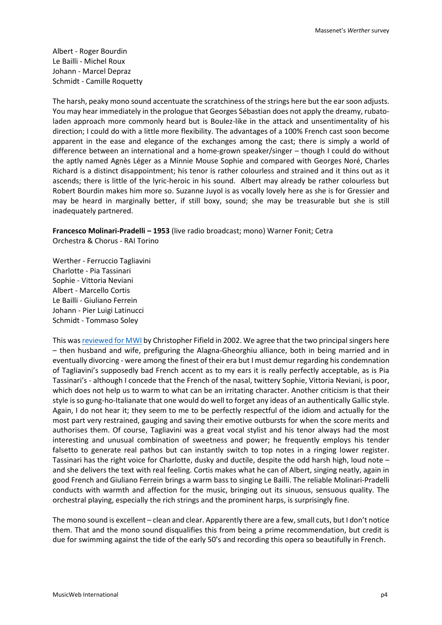Albert - Roger Bourdin Le Bailli - Michel Roux Johann - Marcel Depraz Schmidt - Camille Roquetty

The harsh, peaky mono sound accentuate the scratchiness of the strings here but the ear soon adjusts. You may hear immediately in the prologue that Georges Sébastian does not apply the dreamy, rubatoladen approach more commonly heard but is Boulez-like in the attack and unsentimentality of his direction; I could do with a little more flexibility. The advantages of a 100% French cast soon become apparent in the ease and elegance of the exchanges among the cast; there is simply a world of difference between an international and a home-grown speaker/singer – though I could do without the aptly named Agnès Léger as a Minnie Mouse Sophie and compared with Georges Noré, Charles Richard is a distinct disappointment; his tenor is rather colourless and strained and it thins out as it ascends; there is little of the lyric-heroic in his sound. Albert may already be rather colourless but Robert Bourdin makes him more so. Suzanne Juyol is as vocally lovely here as she is for Gressier and may be heard in marginally better, if still boxy, sound; she may be treasurable but she is still inadequately partnered.

**Francesco Molinari-Pradelli – 1953** (live radio broadcast; mono) Warner Fonit; Cetra Orchestra & Chorus - RAI Torino

Werther - Ferruccio Tagliavini Charlotte - Pia Tassinari Sophie - Vittoria Neviani Albert - Marcello Cortis Le Bailli - Giuliano Ferrein Johann - Pier Luigi Latinucci Schmidt - Tommaso Soley

This wa[s reviewed for MWI](http://www.musicweb-international.com/classrev/2002/Feb02/Massenet_Werther.htm) by Christopher Fifield in 2002. We agree that the two principal singers here – then husband and wife, prefiguring the Alagna-Gheorghiu alliance, both in being married and in eventually divorcing - were among the finest of their era but I must demur regarding his condemnation of Tagliavini's supposedly bad French accent as to my ears it is really perfectly acceptable, as is Pia Tassinari's - although I concede that the French of the nasal, twittery Sophie, Vittoria Neviani, is poor, which does not help us to warm to what can be an irritating character. Another criticism is that their style is so gung-ho-Italianate that one would do well to forget any ideas of an authentically Gallic style. Again, I do not hear it; they seem to me to be perfectly respectful of the idiom and actually for the most part very restrained, gauging and saving their emotive outbursts for when the score merits and authorises them. Of course, Tagliavini was a great vocal stylist and his tenor always had the most interesting and unusual combination of sweetness and power; he frequently employs his tender falsetto to generate real pathos but can instantly switch to top notes in a ringing lower register. Tassinari has the right voice for Charlotte, dusky and ductile, despite the odd harsh high, loud note – and she delivers the text with real feeling. Cortis makes what he can of Albert, singing neatly, again in good French and Giuliano Ferrein brings a warm bass to singing Le Bailli. The reliable Molinari-Pradelli conducts with warmth and affection for the music, bringing out its sinuous, sensuous quality. The orchestral playing, especially the rich strings and the prominent harps, is surprisingly fine.

The mono sound is excellent – clean and clear. Apparently there are a few, small cuts, but I don't notice them. That and the mono sound disqualifies this from being a prime recommendation, but credit is due for swimming against the tide of the early 50's and recording this opera so beautifully in French.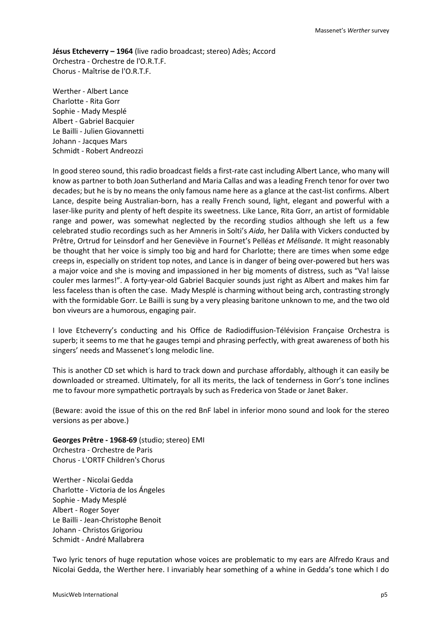**Jésus Etcheverry – 1964** (live radio broadcast; stereo) Adès; Accord Orchestra - Orchestre de l'O.R.T.F. Chorus - Maîtrise de l'O.R.T.F.

Werther - Albert Lance Charlotte - Rita Gorr Sophie - Mady Mesplé Albert - Gabriel Bacquier Le Bailli - Julien Giovannetti Johann - Jacques Mars Schmidt - Robert Andreozzi

In good stereo sound, this radio broadcast fields a first-rate cast including Albert Lance, who many will know as partner to both Joan Sutherland and Maria Callas and was a leading French tenor for over two decades; but he is by no means the only famous name here as a glance at the cast-list confirms. Albert Lance, despite being Australian-born, has a really French sound, light, elegant and powerful with a laser-like purity and plenty of heft despite its sweetness. Like Lance, Rita Gorr, an artist of formidable range and power, was somewhat neglected by the recording studios although she left us a few celebrated studio recordings such as her Amneris in Solti's *Aida*, her Dalila with Vickers conducted by Prêtre, Ortrud for Leinsdorf and her Geneviève in Fournet's Pelléas *et Mélisande*. It might reasonably be thought that her voice is simply too big and hard for Charlotte; there are times when some edge creeps in, especially on strident top notes, and Lance is in danger of being over-powered but hers was a major voice and she is moving and impassioned in her big moments of distress, such as "Va! laisse couler mes larmes!". A forty-year-old Gabriel Bacquier sounds just right as Albert and makes him far less faceless than is often the case. Mady Mesplé is charming without being arch, contrasting strongly with the formidable Gorr. Le Bailli is sung by a very pleasing baritone unknown to me, and the two old bon viveurs are a humorous, engaging pair.

I love Etcheverry's conducting and his Office de Radiodiffusion-Télévision Française Orchestra is superb; it seems to me that he gauges tempi and phrasing perfectly, with great awareness of both his singers' needs and Massenet's long melodic line.

This is another CD set which is hard to track down and purchase affordably, although it can easily be downloaded or streamed. Ultimately, for all its merits, the lack of tenderness in Gorr's tone inclines me to favour more sympathetic portrayals by such as Frederica von Stade or Janet Baker.

(Beware: avoid the issue of this on the red BnF label in inferior mono sound and look for the stereo versions as per above.)

**Georges Prêtre - 1968-69** (studio; stereo) EMI Orchestra - Orchestre de Paris Chorus - L'ORTF Children's Chorus

Werther - Nicolai Gedda Charlotte - Victoria de los Ángeles Sophie - Mady Mesplé Albert - Roger Soyer Le Bailli - Jean-Christophe Benoit Johann - Christos Grigoriou Schmidt - André Mallabrera

Two lyric tenors of huge reputation whose voices are problematic to my ears are Alfredo Kraus and Nicolai Gedda, the Werther here. I invariably hear something of a whine in Gedda's tone which I do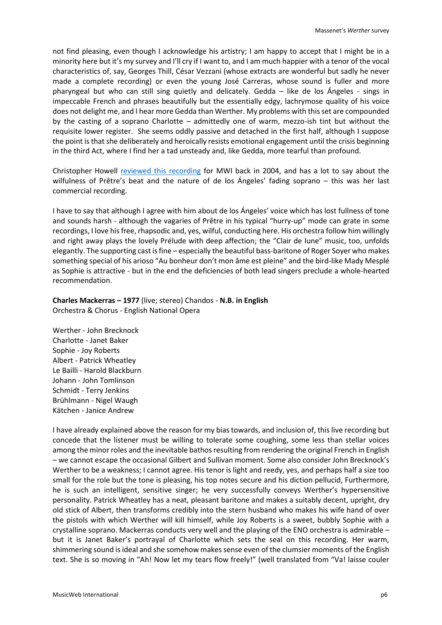not find pleasing, even though I acknowledge his artistry; I am happy to accept that I might be in a minority here but it's my survey and I'll cry if I want to, and I am much happier with a tenor of the vocal characteristics of, say, Georges Thill, César Vezzani (whose extracts are wonderful but sadly he never made a complete recording) or even the young José Carreras, whose sound is fuller and more pharyngeal but who can still sing quietly and delicately. Gedda – like de los Ángeles - sings in impeccable French and phrases beautifully but the essentially edgy, lachrymose quality of his voice does not delight me, and I hear more Gedda than Werther. My problems with this set are compounded by the casting of a soprano Charlotte – admittedly one of warm, mezzo-ish tint but without the requisite lower register. She seems oddly passive and detached in the first half, although I suppose the point is that she deliberately and heroically resists emotional engagement until the crisis beginning in the third Act, where I find her a tad unsteady and, like Gedda, more tearful than profound.

Christopher Howell [reviewed this recording](http://www.musicweb-international.com/classrev/2004/May04/werther_groc.htm) for MWI back in 2004, and has a lot to say about the wilfulness of Prêtre's beat and the nature of de los Ángeles' fading soprano – this was her last commercial recording.

I have to say that although I agree with him about de los Ángeles' voice which has lost fullness of tone and sounds harsh - although the vagaries of Prêtre in his typical "hurry-up" mode can grate in some recordings, I love his free, rhapsodic and, yes, wilful, conducting here. His orchestra follow him willingly and right away plays the lovely Prélude with deep affection; the "Clair de lune" music, too, unfolds elegantly. The supporting cast is fine – especially the beautiful bass-baritone of Roger Soyer who makes something special of his arioso "Au bonheur don't mon âme est pleine" and the bird-like Mady Mesplé as Sophie is attractive - but in the end the deficiencies of both lead singers preclude a whole-hearted recommendation.

**Charles Mackerras – 1977** (live; stereo) Chandos - **N.B. in English** Orchestra & Chorus - English National Opera

Werther - John Brecknock Charlotte - Janet Baker Sophie - Joy Roberts Albert - Patrick Wheatley Le Bailli - Harold Blackburn Johann - John Tomlinson Schmidt - Terry Jenkins Brühlmann - Nigel Waugh Kätchen - Janice Andrew

I have already explained above the reason for my bias towards, and inclusion of, this live recording but concede that the listener must be willing to tolerate some coughing, some less than stellar voices among the minor roles and the inevitable bathos resulting from rendering the original French in English – we cannot escape the occasional Gilbert and Sullivan moment. Some also consider John Brecknock's Werther to be a weakness; I cannot agree. His tenor is light and reedy, yes, and perhaps half a size too small for the role but the tone is pleasing, his top notes secure and his diction pellucid, Furthermore, he is such an intelligent, sensitive singer; he very successfully conveys Werther's hypersensitive personality. Patrick Wheatley has a neat, pleasant baritone and makes a suitably decent, upright, dry old stick of Albert, then transforms credibly into the stern husband who makes his wife hand of over the pistols with which Werther will kill himself, while Joy Roberts is a sweet, bubbly Sophie with a crystalline soprano. Mackerras conducts very well and the playing of the ENO orchestra is admirable – but it is Janet Baker's portrayal of Charlotte which sets the seal on this recording. Her warm, shimmering sound is ideal and she somehow makes sense even of the clumsier moments of the English text. She is so moving in "Ah! Now let my tears flow freely!" (well translated from "Va! laisse couler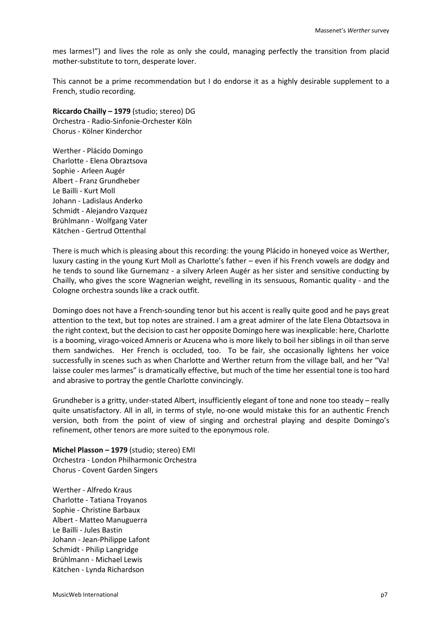mes larmes!") and lives the role as only she could, managing perfectly the transition from placid mother-substitute to torn, desperate lover.

This cannot be a prime recommendation but I do endorse it as a highly desirable supplement to a French, studio recording.

# **Riccardo Chailly – 1979** (studio; stereo) DG

Orchestra - Radio-Sinfonie-Orchester Köln Chorus - Kölner Kinderchor

Werther - Plácido Domingo Charlotte - Elena Obraztsova Sophie - Arleen Augér Albert - Franz Grundheber Le Bailli - Kurt Moll Johann - Ladislaus Anderko Schmidt - Alejandro Vazquez Brühlmann - Wolfgang Vater Kätchen - Gertrud Ottenthal

There is much which is pleasing about this recording: the young Plácido in honeyed voice as Werther, luxury casting in the young Kurt Moll as Charlotte's father – even if his French vowels are dodgy and he tends to sound like Gurnemanz - a silvery Arleen Augér as her sister and sensitive conducting by Chailly, who gives the score Wagnerian weight, revelling in its sensuous, Romantic quality - and the Cologne orchestra sounds like a crack outfit.

Domingo does not have a French-sounding tenor but his accent is really quite good and he pays great attention to the text, but top notes are strained. I am a great admirer of the late Elena Obtaztsova in the right context, but the decision to cast her opposite Domingo here was inexplicable: here, Charlotte is a booming, virago-voiced Amneris or Azucena who is more likely to boil her siblings in oil than serve them sandwiches. Her French is occluded, too. To be fair, she occasionally lightens her voice successfully in scenes such as when Charlotte and Werther return from the village ball, and her "Va! laisse couler mes larmes" is dramatically effective, but much of the time her essential tone is too hard and abrasive to portray the gentle Charlotte convincingly.

Grundheber is a gritty, under-stated Albert, insufficiently elegant of tone and none too steady – really quite unsatisfactory. All in all, in terms of style, no-one would mistake this for an authentic French version, both from the point of view of singing and orchestral playing and despite Domingo's refinement, other tenors are more suited to the eponymous role.

**Michel Plasson – 1979** (studio; stereo) EMI Orchestra - London Philharmonic Orchestra Chorus - Covent Garden Singers

Werther - Alfredo Kraus Charlotte - Tatiana Troyanos Sophie - Christine Barbaux Albert - Matteo Manuguerra Le Bailli - Jules Bastin Johann - Jean-Philippe Lafont Schmidt - Philip Langridge Brühlmann - Michael Lewis Kätchen - Lynda Richardson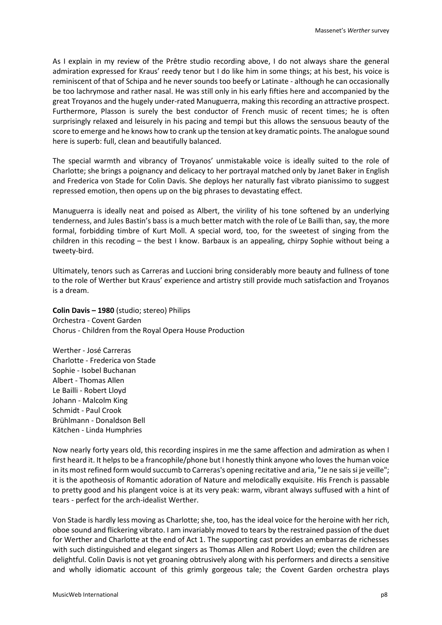As I explain in my review of the Prêtre studio recording above, I do not always share the general admiration expressed for Kraus' reedy tenor but I do like him in some things; at his best, his voice is reminiscent of that of Schipa and he never sounds too beefy or Latinate - although he can occasionally be too lachrymose and rather nasal. He was still only in his early fifties here and accompanied by the great Troyanos and the hugely under-rated Manuguerra, making this recording an attractive prospect. Furthermore, Plasson is surely the best conductor of French music of recent times; he is often surprisingly relaxed and leisurely in his pacing and tempi but this allows the sensuous beauty of the score to emerge and he knows how to crank up the tension at key dramatic points. The analogue sound here is superb: full, clean and beautifully balanced.

The special warmth and vibrancy of Troyanos' unmistakable voice is ideally suited to the role of Charlotte; she brings a poignancy and delicacy to her portrayal matched only by Janet Baker in English and Frederica von Stade for Colin Davis. She deploys her naturally fast vibrato pianissimo to suggest repressed emotion, then opens up on the big phrases to devastating effect.

Manuguerra is ideally neat and poised as Albert, the virility of his tone softened by an underlying tenderness, and Jules Bastin's bass is a much better match with the role of Le Bailli than, say, the more formal, forbidding timbre of Kurt Moll. A special word, too, for the sweetest of singing from the children in this recoding – the best I know. Barbaux is an appealing, chirpy Sophie without being a tweety-bird.

Ultimately, tenors such as Carreras and Luccioni bring considerably more beauty and fullness of tone to the role of Werther but Kraus' experience and artistry still provide much satisfaction and Troyanos is a dream.

**Colin Davis – 1980** (studio; stereo) Philips Orchestra - Covent Garden Chorus - Children from the Royal Opera House Production

Werther - José Carreras Charlotte - Frederica von Stade Sophie - Isobel Buchanan Albert - Thomas Allen Le Bailli - Robert Lloyd Johann - Malcolm King Schmidt - Paul Crook Brühlmann - Donaldson Bell Kätchen - Linda Humphries

Now nearly forty years old, this recording inspires in me the same affection and admiration as when I first heard it. It helps to be a francophile/phone but I honestly think anyone who loves the human voice in its most refined form would succumb to Carreras's opening recitative and aria, "Je ne sais si je veille"; it is the apotheosis of Romantic adoration of Nature and melodically exquisite. His French is passable to pretty good and his plangent voice is at its very peak: warm, vibrant always suffused with a hint of tears - perfect for the arch-idealist Werther.

Von Stade is hardly less moving as Charlotte; she, too, has the ideal voice for the heroine with her rich, oboe sound and flickering vibrato. I am invariably moved to tears by the restrained passion of the duet for Werther and Charlotte at the end of Act 1. The supporting cast provides an embarras de richesses with such distinguished and elegant singers as Thomas Allen and Robert Lloyd; even the children are delightful. Colin Davis is not yet groaning obtrusively along with his performers and directs a sensitive and wholly idiomatic account of this grimly gorgeous tale; the Covent Garden orchestra plays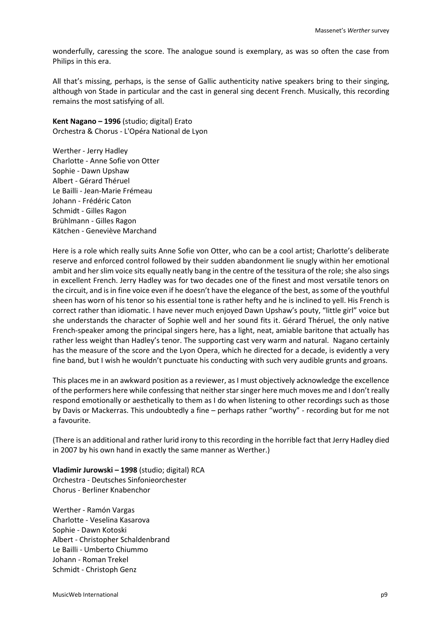wonderfully, caressing the score. The analogue sound is exemplary, as was so often the case from Philips in this era.

All that's missing, perhaps, is the sense of Gallic authenticity native speakers bring to their singing, although von Stade in particular and the cast in general sing decent French. Musically, this recording remains the most satisfying of all.

**Kent Nagano – 1996** (studio; digital) Erato Orchestra & Chorus - L'Opéra National de Lyon

Werther - Jerry Hadley Charlotte - Anne Sofie von Otter Sophie - Dawn Upshaw Albert - Gérard Théruel Le Bailli - Jean-Marie Frémeau Johann - Frédéric Caton Schmidt - Gilles Ragon Brühlmann - Gilles Ragon Kätchen - Geneviève Marchand

Here is a role which really suits Anne Sofie von Otter, who can be a cool artist; Charlotte's deliberate reserve and enforced control followed by their sudden abandonment lie snugly within her emotional ambit and her slim voice sits equally neatly bang in the centre of the tessitura of the role; she also sings in excellent French. Jerry Hadley was for two decades one of the finest and most versatile tenors on the circuit, and is in fine voice even if he doesn't have the elegance of the best, as some of the youthful sheen has worn of his tenor so his essential tone is rather hefty and he is inclined to yell. His French is correct rather than idiomatic. I have never much enjoyed Dawn Upshaw's pouty, "little girl" voice but she understands the character of Sophie well and her sound fits it. Gérard Théruel, the only native French-speaker among the principal singers here, has a light, neat, amiable baritone that actually has rather less weight than Hadley's tenor. The supporting cast very warm and natural. Nagano certainly has the measure of the score and the Lyon Opera, which he directed for a decade, is evidently a very fine band, but I wish he wouldn't punctuate his conducting with such very audible grunts and groans.

This places me in an awkward position as a reviewer, as I must objectively acknowledge the excellence of the performers here while confessing that neither star singer here much moves me and I don't really respond emotionally or aesthetically to them as I do when listening to other recordings such as those by Davis or Mackerras. This undoubtedly a fine – perhaps rather "worthy" - recording but for me not a favourite.

(There is an additional and rather lurid irony to this recording in the horrible fact that Jerry Hadley died in 2007 by his own hand in exactly the same manner as Werther.)

**Vladimir Jurowski – 1998** (studio; digital) RCA Orchestra - Deutsches Sinfonieorchester Chorus - Berliner Knabenchor

Werther - Ramón Vargas Charlotte - Veselina Kasarova Sophie - Dawn Kotoski Albert - Christopher Schaldenbrand Le Bailli - Umberto Chiummo Johann - Roman Trekel Schmidt - Christoph Genz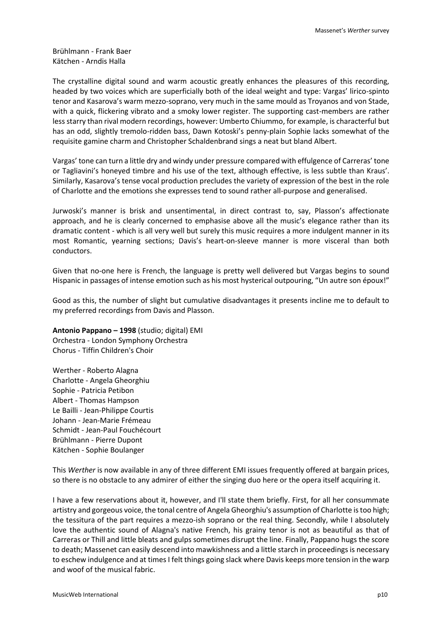Brühlmann - Frank Baer Kätchen - Arndis Halla

The crystalline digital sound and warm acoustic greatly enhances the pleasures of this recording, headed by two voices which are superficially both of the ideal weight and type: Vargas' lirico-spinto tenor and Kasarova's warm mezzo-soprano, very much in the same mould as Troyanos and von Stade, with a quick, flickering vibrato and a smoky lower register. The supporting cast-members are rather less starry than rival modern recordings, however: Umberto Chiummo, for example, is characterful but has an odd, slightly tremolo-ridden bass, Dawn Kotoski's penny-plain Sophie lacks somewhat of the requisite gamine charm and Christopher Schaldenbrand sings a neat but bland Albert.

Vargas' tone can turn a little dry and windy under pressure compared with effulgence of Carreras' tone or Tagliavini's honeyed timbre and his use of the text, although effective, is less subtle than Kraus'. Similarly, Kasarova's tense vocal production precludes the variety of expression of the best in the role of Charlotte and the emotions she expresses tend to sound rather all-purpose and generalised.

Jurwoski's manner is brisk and unsentimental, in direct contrast to, say, Plasson's affectionate approach, and he is clearly concerned to emphasise above all the music's elegance rather than its dramatic content - which is all very well but surely this music requires a more indulgent manner in its most Romantic, yearning sections; Davis's heart-on-sleeve manner is more visceral than both conductors.

Given that no-one here is French, the language is pretty well delivered but Vargas begins to sound Hispanic in passages of intense emotion such as his most hysterical outpouring, "Un autre son époux!"

Good as this, the number of slight but cumulative disadvantages it presents incline me to default to my preferred recordings from Davis and Plasson.

**Antonio Pappano – 1998** (studio; digital) EMI Orchestra - London Symphony Orchestra Chorus - Tiffin Children's Choir

Werther - Roberto Alagna Charlotte - Angela Gheorghiu Sophie - Patricia Petibon Albert - Thomas Hampson Le Bailli - Jean-Philippe Courtis Johann - Jean-Marie Frémeau Schmidt - Jean-Paul Fouchécourt Brühlmann - Pierre Dupont Kätchen - Sophie Boulanger

This *Werther* is now available in any of three different EMI issues frequently offered at bargain prices, so there is no obstacle to any admirer of either the singing duo here or the opera itself acquiring it.

I have a few reservations about it, however, and I'll state them briefly. First, for all her consummate artistry and gorgeous voice, the tonal centre of Angela Gheorghiu's assumption of Charlotte is too high; the tessitura of the part requires a mezzo-ish soprano or the real thing. Secondly, while I absolutely love the authentic sound of Alagna's native French, his grainy tenor is not as beautiful as that of Carreras or Thill and little bleats and gulps sometimes disrupt the line. Finally, Pappano hugs the score to death; Massenet can easily descend into mawkishness and a little starch in proceedings is necessary to eschew indulgence and at times I felt things going slack where Davis keeps more tension in the warp and woof of the musical fabric.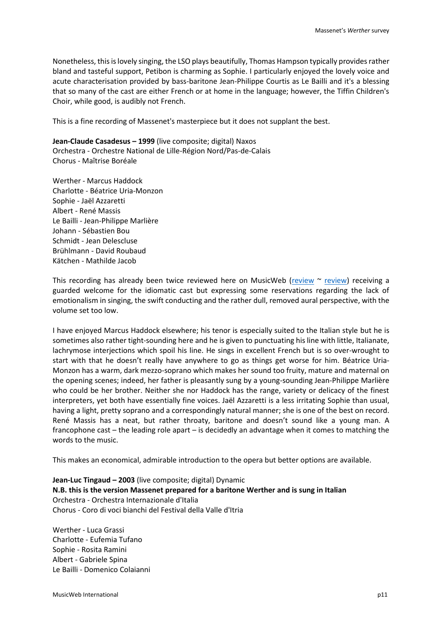Nonetheless, this is lovely singing, the LSO plays beautifully, Thomas Hampson typically provides rather bland and tasteful support, Petibon is charming as Sophie. I particularly enjoyed the lovely voice and acute characterisation provided by bass-baritone Jean-Philippe Courtis as Le Bailli and it's a blessing that so many of the cast are either French or at home in the language; however, the Tiffin Children's Choir, while good, is audibly not French.

This is a fine recording of Massenet's masterpiece but it does not supplant the best.

**Jean-Claude Casadesus – 1999** (live composite; digital) Naxos Orchestra - Orchestre National de Lille-Région Nord/Pas-de-Calais Chorus - Maîtrise Boréale

Werther - Marcus Haddock Charlotte - Béatrice Uria-Monzon Sophie - Jaël Azzaretti Albert - René Massis Le Bailli - Jean-Philippe Marlière Johann - Sébastien Bou Schmidt - Jean Delescluse Brühlmann - David Roubaud Kätchen - Mathilde Jacob

This recording has already been twice reviewed here on MusicWeb [\(review](http://www.musicweb-international.com/classrev/2003/Mar03/MassenetWerther.htm)  $\sim$  [review\)](http://www.musicweb-international.com/classrev/2003/Apr03/Massenet_Werther.htm) receiving a guarded welcome for the idiomatic cast but expressing some reservations regarding the lack of emotionalism in singing, the swift conducting and the rather dull, removed aural perspective, with the volume set too low.

I have enjoyed Marcus Haddock elsewhere; his tenor is especially suited to the Italian style but he is sometimes also rather tight-sounding here and he is given to punctuating his line with little, Italianate, lachrymose interjections which spoil his line. He sings in excellent French but is so over-wrought to start with that he doesn't really have anywhere to go as things get worse for him. Béatrice Uria-Monzon has a warm, dark mezzo-soprano which makes her sound too fruity, mature and maternal on the opening scenes; indeed, her father is pleasantly sung by a young-sounding Jean-Philippe Marlière who could be her brother. Neither she nor Haddock has the range, variety or delicacy of the finest interpreters, yet both have essentially fine voices. Jaël Azzaretti is a less irritating Sophie than usual, having a light, pretty soprano and a correspondingly natural manner; she is one of the best on record. René Massis has a neat, but rather throaty, baritone and doesn't sound like a young man. A francophone cast – the leading role apart – is decidedly an advantage when it comes to matching the words to the music.

This makes an economical, admirable introduction to the opera but better options are available.

**Jean-Luc Tingaud – 2003** (live composite; digital) Dynamic **N.B. this is the version Massenet prepared for a baritone Werther and is sung in Italian** Orchestra - Orchestra Internazionale d'Italia Chorus - Coro di voci bianchi del Festival della Valle d'Itria

Werther - Luca Grassi Charlotte - Eufemia Tufano Sophie - Rosita Ramini Albert - Gabriele Spina Le Bailli - Domenico Colaianni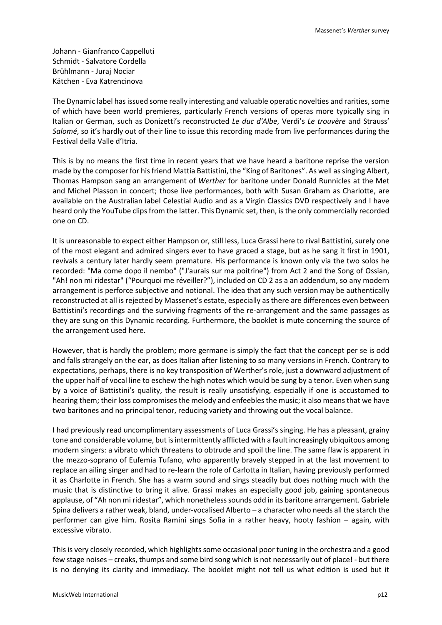Johann - Gianfranco Cappelluti Schmidt - Salvatore Cordella Brühlmann - Juraj Nociar Kätchen - Eva Katrencinova

The Dynamic label has issued some really interesting and valuable operatic novelties and rarities, some of which have been world premieres, particularly French versions of operas more typically sing in Italian or German, such as Donizetti's reconstructed *Le duc d'Albe*, Verdi's *Le trouvère* and Strauss' *Salomé*, so it's hardly out of their line to issue this recording made from live performances during the Festival della Valle d'Itria.

This is by no means the first time in recent years that we have heard a baritone reprise the version made by the composer for his friend Mattia Battistini, the "King of Baritones". As well as singing Albert, Thomas Hampson sang an arrangement of *Werther* for baritone under Donald Runnicles at the Met and Michel Plasson in concert; those live performances, both with Susan Graham as Charlotte, are available on the Australian label Celestial Audio and as a Virgin Classics DVD respectively and I have heard only the YouTube clips from the latter. This Dynamic set, then, is the only commercially recorded one on CD.

It is unreasonable to expect either Hampson or, still less, Luca Grassi here to rival Battistini, surely one of the most elegant and admired singers ever to have graced a stage, but as he sang it first in 1901, revivals a century later hardly seem premature. His performance is known only via the two solos he recorded: "Ma come dopo il nembo" ("J'aurais sur ma poitrine") from Act 2 and the Song of Ossian, "Ah! non mi ridestar" ("Pourquoi me réveiller?"), included on CD 2 as a an addendum, so any modern arrangement is perforce subjective and notional. The idea that any such version may be authentically reconstructed at all is rejected by Massenet's estate, especially as there are differences even between Battistini's recordings and the surviving fragments of the re-arrangement and the same passages as they are sung on this Dynamic recording. Furthermore, the booklet is mute concerning the source of the arrangement used here.

However, that is hardly the problem; more germane is simply the fact that the concept per se is odd and falls strangely on the ear, as does Italian after listening to so many versions in French. Contrary to expectations, perhaps, there is no key transposition of Werther's role, just a downward adjustment of the upper half of vocal line to eschew the high notes which would be sung by a tenor. Even when sung by a voice of Battistini's quality, the result is really unsatisfying, especially if one is accustomed to hearing them; their loss compromises the melody and enfeebles the music; it also means that we have two baritones and no principal tenor, reducing variety and throwing out the vocal balance.

I had previously read uncomplimentary assessments of Luca Grassi's singing. He has a pleasant, grainy tone and considerable volume, but is intermittently afflicted with a fault increasingly ubiquitous among modern singers: a vibrato which threatens to obtrude and spoil the line. The same flaw is apparent in the mezzo-soprano of Eufemia Tufano, who apparently bravely stepped in at the last movement to replace an ailing singer and had to re-learn the role of Carlotta in Italian, having previously performed it as Charlotte in French. She has a warm sound and sings steadily but does nothing much with the music that is distinctive to bring it alive. Grassi makes an especially good job, gaining spontaneous applause, of "Ah non mi ridestar", which nonetheless sounds odd in its baritone arrangement. Gabriele Spina delivers a rather weak, bland, under-vocalised Alberto – a character who needs all the starch the performer can give him. Rosita Ramini sings Sofia in a rather heavy, hooty fashion – again, with excessive vibrato.

This is very closely recorded, which highlights some occasional poor tuning in the orchestra and a good few stage noises – creaks, thumps and some bird song which is not necessarily out of place! - but there is no denying its clarity and immediacy. The booklet might not tell us what edition is used but it